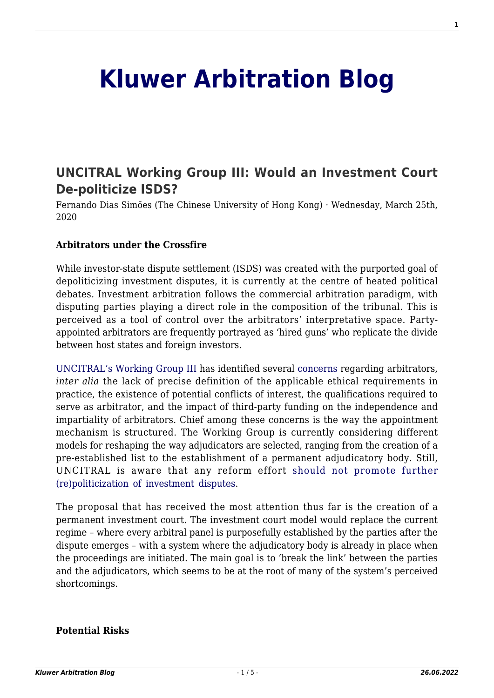# **[Kluwer Arbitration Blog](http://arbitrationblog.kluwerarbitration.com/)**

# **[UNCITRAL Working Group III: Would an Investment Court](http://arbitrationblog.kluwerarbitration.com/2020/03/25/uncitral-working-group-iii-would-an-investment-court-de-politicize-isds/) [De-politicize ISDS?](http://arbitrationblog.kluwerarbitration.com/2020/03/25/uncitral-working-group-iii-would-an-investment-court-de-politicize-isds/)**

Fernando Dias Simões (The Chinese University of Hong Kong) · Wednesday, March 25th, 2020

#### **Arbitrators under the Crossfire**

While investor-state dispute settlement (ISDS) was created with the purported goal of depoliticizing investment disputes, it is currently at the centre of heated political debates. Investment arbitration follows the commercial arbitration paradigm, with disputing parties playing a direct role in the composition of the tribunal. This is perceived as a tool of control over the arbitrators' interpretative space. Partyappointed arbitrators are frequently portrayed as 'hired guns' who replicate the divide between host states and foreign investors.

[UNCITRAL's Working Group III](https://uncitral.un.org/en/working_groups/3/investor-state) has identified several [concerns](https://undocs.org/en/A/CN.9/WG.III/WP.151) regarding arbitrators, *inter alia* the lack of precise definition of the applicable ethical requirements in practice, the existence of potential conflicts of interest, the qualifications required to serve as arbitrator, and the impact of third-party funding on the independence and impartiality of arbitrators. Chief among these concerns is the way the appointment mechanism is structured. The Working Group is currently considering different models for reshaping the way adjudicators are selected, ranging from the creation of a pre-established list to the establishment of a permanent adjudicatory body. Still, UNCITRAL is aware that any reform effort [should not promote further](https://undocs.org/en/A/CN.9/935) [\(re\)politicization of investment disputes.](https://undocs.org/en/A/CN.9/935)

The proposal that has received the most attention thus far is the creation of a permanent investment court. The investment court model would replace the current regime – where every arbitral panel is purposefully established by the parties after the dispute emerges – with a system where the adjudicatory body is already in place when the proceedings are initiated. The main goal is to 'break the link' between the parties and the adjudicators, which seems to be at the root of many of the system's perceived shortcomings.

#### **Potential Risks**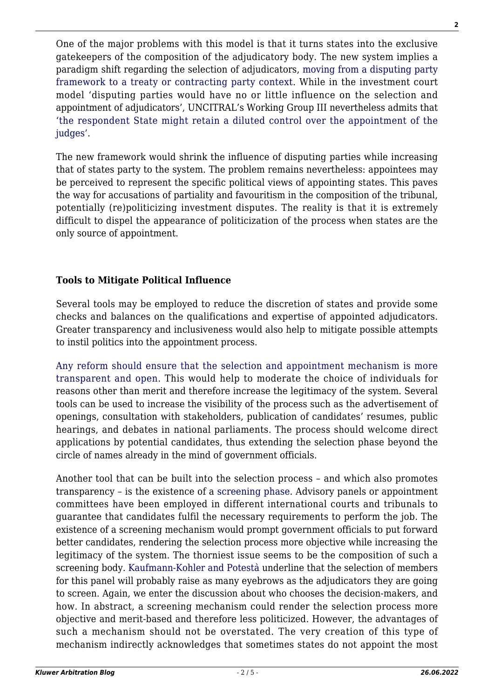One of the major problems with this model is that it turns states into the exclusive gatekeepers of the composition of the adjudicatory body. The new system implies a paradigm shift regarding the selection of adjudicators, [moving from a disputing party](https://www.ejiltalk.org/would-a-multilateral-investment-court-be-biased-shifting-to-a-treaty-party-framework-of-analysis) [framework to a treaty or contracting party context](https://www.ejiltalk.org/would-a-multilateral-investment-court-be-biased-shifting-to-a-treaty-party-framework-of-analysis). While in the investment court model 'disputing parties would have no or little influence on the selection and appointment of adjudicators', UNCITRAL's Working Group III nevertheless admits that ['the respondent State might retain a diluted control over the appointment of the](https://uncitral.un.org/sites/uncitral.un.org/files/wp169.pdf) [judges'.](https://uncitral.un.org/sites/uncitral.un.org/files/wp169.pdf)

The new framework would shrink the influence of disputing parties while increasing that of states party to the system. The problem remains nevertheless: appointees may be perceived to represent the specific political views of appointing states. This paves the way for accusations of partiality and favouritism in the composition of the tribunal, potentially (re)politicizing investment disputes. The reality is that it is extremely difficult to dispel the appearance of politicization of the process when states are the only source of appointment.

# **Tools to Mitigate Political Influence**

Several tools may be employed to reduce the discretion of states and provide some checks and balances on the qualifications and expertise of appointed adjudicators. Greater transparency and inclusiveness would also help to mitigate possible attempts to instil politics into the appointment process.

[Any reform should ensure that the selection and appointment mechanism is more](https://undocs.org/en/A/CN.9/WG.III/WP.169) [transparent and open](https://undocs.org/en/A/CN.9/WG.III/WP.169). This would help to moderate the choice of individuals for reasons other than merit and therefore increase the legitimacy of the system. Several tools can be used to increase the visibility of the process such as the advertisement of openings, consultation with stakeholders, publication of candidates' resumes, public hearings, and debates in national parliaments. The process should welcome direct applications by potential candidates, thus extending the selection phase beyond the circle of names already in the mind of government officials.

Another tool that can be built into the selection process – and which also promotes transparency – is the existence of a [screening phase.](http://undocs.org/en/A/CN.9/WG.III/WP.169) Advisory panels or appointment committees have been employed in different international courts and tribunals to guarantee that candidates fulfil the necessary requirements to perform the job. The existence of a screening mechanism would prompt government officials to put forward better candidates, rendering the selection process more objective while increasing the legitimacy of the system. The thorniest issue seems to be the composition of such a screening body. [Kaufmann-Kohler and Potestà](https://www.uncitral.org/pdf/english/workinggroups/wg_3/CIDS_Supplemental_Report.pdf) underline that the selection of members for this panel will probably raise as many eyebrows as the adjudicators they are going to screen. Again, we enter the discussion about who chooses the decision-makers, and how. In abstract, a screening mechanism could render the selection process more objective and merit-based and therefore less politicized. However, the advantages of such a mechanism should not be overstated. The very creation of this type of mechanism indirectly acknowledges that sometimes states do not appoint the most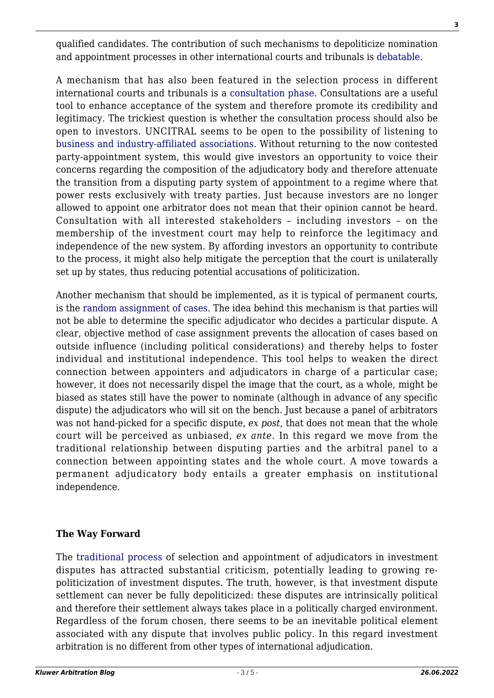qualified candidates. The contribution of such mechanisms to depoliticize nomination and appointment processes in other international courts and tribunals is [debatable](https://www.oxfordscholarship.com/view/10.1093/acprof:oso/9780198727781.001.0001/acprof-9780198727781-chapter-9).

A mechanism that has also been featured in the selection process in different international courts and tribunals is a [consultation phase.](http://undocs.org/en/A/CN.9/WG.III/WP.169) Consultations are a useful tool to enhance acceptance of the system and therefore promote its credibility and legitimacy. The trickiest question is whether the consultation process should also be open to investors. UNCITRAL seems to be open to the possibility of listening to [business and industry-affiliated associations.](http://undocs.org/en/A/CN.9/WG.III/WP.169) Without returning to the now contested party-appointment system, this would give investors an opportunity to voice their concerns regarding the composition of the adjudicatory body and therefore attenuate the transition from a disputing party system of appointment to a regime where that power rests exclusively with treaty parties. Just because investors are no longer allowed to appoint one arbitrator does not mean that their opinion cannot be heard. Consultation with all interested stakeholders – including investors – on the membership of the investment court may help to reinforce the legitimacy and independence of the new system. By affording investors an opportunity to contribute to the process, it might also help mitigate the perception that the court is unilaterally set up by states, thus reducing potential accusations of politicization.

Another mechanism that should be implemented, as it is typical of permanent courts, is the [random assignment of cases](https://undocs.org/en/A/CN.9/WG.III/WP.151). The idea behind this mechanism is that parties will not be able to determine the specific adjudicator who decides a particular dispute. A clear, objective method of case assignment prevents the allocation of cases based on outside influence (including political considerations) and thereby helps to foster individual and institutional independence. This tool helps to weaken the direct connection between appointers and adjudicators in charge of a particular case; however, it does not necessarily dispel the image that the court, as a whole, might be biased as states still have the power to nominate (although in advance of any specific dispute) the adjudicators who will sit on the bench. Just because a panel of arbitrators was not hand-picked for a specific dispute, *ex post*, that does not mean that the whole court will be perceived as unbiased, *ex ante*. In this regard we move from the traditional relationship between disputing parties and the arbitral panel to a connection between appointing states and the whole court. A move towards a permanent adjudicatory body entails a greater emphasis on institutional independence.

## **The Way Forward**

The [traditional process](http://www.kluwerarbitration.com/document/kli-ka-born-2014-ch12?q=appointment%20of%20an%20arbitrator) of selection and appointment of adjudicators in investment disputes has attracted substantial criticism, potentially leading to growing repoliticization of investment disputes. The truth, however, is that investment dispute settlement can never be fully depoliticized: these disputes are intrinsically political and therefore their settlement always takes place in a politically charged environment. Regardless of the forum chosen, there seems to be an inevitable political element associated with any dispute that involves public policy. In this regard investment arbitration is no different from other types of international adjudication.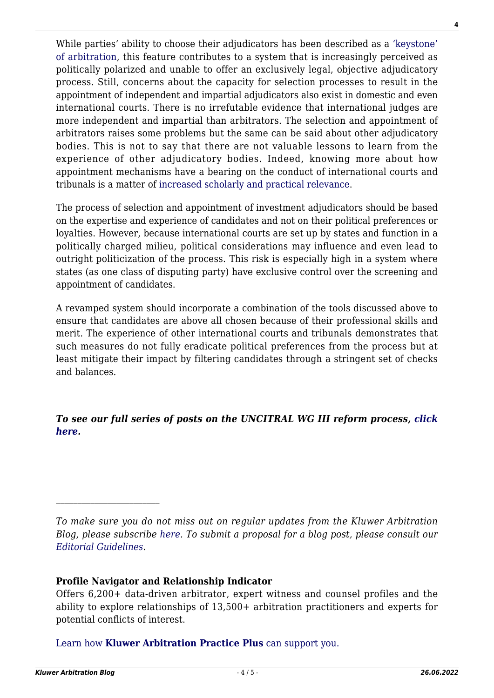While parties' ability to choose their adjudicators has been described as a ['keystone'](https://www.cambridge.org/core/journals/proceedings-of-the-asil-annual-meeting/article/historical-keystone-to-international-arbitration-the-partyappointed-arbitratorfrom-miami-to-geneva/0E66503897AFB6A27FD746095BFE0DD6) [of arbitration,](https://www.cambridge.org/core/journals/proceedings-of-the-asil-annual-meeting/article/historical-keystone-to-international-arbitration-the-partyappointed-arbitratorfrom-miami-to-geneva/0E66503897AFB6A27FD746095BFE0DD6) this feature contributes to a system that is increasingly perceived as politically polarized and unable to offer an exclusively legal, objective adjudicatory process. Still, concerns about the capacity for selection processes to result in the appointment of independent and impartial adjudicators also exist in domestic and even international courts. There is no irrefutable evidence that international judges are more independent and impartial than arbitrators. The selection and appointment of arbitrators raises some problems but the same can be said about other adjudicatory bodies. This is not to say that there are not valuable lessons to learn from the experience of other adjudicatory bodies. Indeed, knowing more about how appointment mechanisms have a bearing on the conduct of international courts and tribunals is a matter of [increased scholarly and practical relevance](https://www.jus.uio.no/pluricourts/english/projects/leginvest/academic-forum/papers/papers/11-bjorklund-et-al-selection-and-appointment-isds-af-11-2019.pdf).

The process of selection and appointment of investment adjudicators should be based on the expertise and experience of candidates and not on their political preferences or loyalties. However, because international courts are set up by states and function in a politically charged milieu, political considerations may influence and even lead to outright politicization of the process. This risk is especially high in a system where states (as one class of disputing party) have exclusive control over the screening and appointment of candidates.

A revamped system should incorporate a combination of the tools discussed above to ensure that candidates are above all chosen because of their professional skills and merit. The experience of other international courts and tribunals demonstrates that such measures do not fully eradicate political preferences from the process but at least mitigate their impact by filtering candidates through a stringent set of checks and balances.

*To see our full series of posts on the UNCITRAL WG III reform process, [click](http://arbitrationblog.kluwerarbitration.com/category/archives/uncitral-wg-iii-series/) [here.](http://arbitrationblog.kluwerarbitration.com/category/archives/uncitral-wg-iii-series/)*

## **Profile Navigator and Relationship Indicator**

Offers 6,200+ data-driven arbitrator, expert witness and counsel profiles and the ability to explore relationships of 13,500+ arbitration practitioners and experts for potential conflicts of interest.

[Learn how](https://www.wolterskluwer.com/en/solutions/kluwerarbitration/practiceplus?utm_source=arbitrationblog&utm_medium=articleCTA&utm_campaign=article-banner) **[Kluwer Arbitration Practice Plus](https://www.wolterskluwer.com/en/solutions/kluwerarbitration/practiceplus?utm_source=arbitrationblog&utm_medium=articleCTA&utm_campaign=article-banner)** [can support you.](https://www.wolterskluwer.com/en/solutions/kluwerarbitration/practiceplus?utm_source=arbitrationblog&utm_medium=articleCTA&utm_campaign=article-banner)

*To make sure you do not miss out on regular updates from the Kluwer Arbitration Blog, please subscribe [here](http://arbitrationblog.kluwerarbitration.com/newsletter/). To submit a proposal for a blog post, please consult our [Editorial Guidelines.](http://arbitrationblog.kluwerarbitration.com/editorial-guidelines/)*